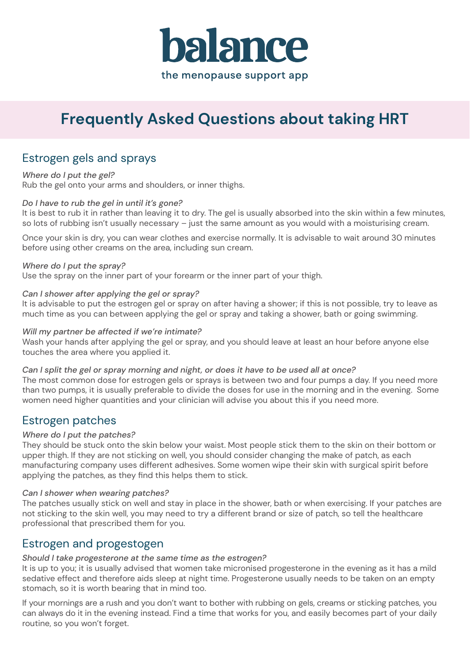

# **Frequently Asked Questions about taking HRT**

## Estrogen gels and sprays

*Where do I put the gel?* Rub the gel onto your arms and shoulders, or inner thighs.

### *Do I have to rub the gel in until it's gone?*

It is best to rub it in rather than leaving it to dry. The gel is usually absorbed into the skin within a few minutes, so lots of rubbing isn't usually necessary – just the same amount as you would with a moisturising cream.

Once your skin is dry, you can wear clothes and exercise normally. It is advisable to wait around 30 minutes before using other creams on the area, including sun cream.

#### *Where do I put the spray?*

Use the spray on the inner part of your forearm or the inner part of your thigh.

#### *Can I shower after applying the gel or spray?*

It is advisable to put the estrogen gel or spray on after having a shower; if this is not possible, try to leave as much time as you can between applying the gel or spray and taking a shower, bath or going swimming.

#### *Will my partner be affected if we're intimate?*

Wash your hands after applying the gel or spray, and you should leave at least an hour before anyone else touches the area where you applied it.

#### *Can I split the gel or spray morning and night, or does it have to be used all at once?*

The most common dose for estrogen gels or sprays is between two and four pumps a day. If you need more than two pumps, it is usually preferable to divide the doses for use in the morning and in the evening. Some women need higher quantities and your clinician will advise you about this if you need more.

### Estrogen patches

### *Where do I put the patches?*

They should be stuck onto the skin below your waist. Most people stick them to the skin on their bottom or upper thigh. If they are not sticking on well, you should consider changing the make of patch, as each manufacturing company uses different adhesives. Some women wipe their skin with surgical spirit before applying the patches, as they find this helps them to stick.

#### *Can I shower when wearing patches?*

The patches usually stick on well and stay in place in the shower, bath or when exercising. If your patches are not sticking to the skin well, you may need to try a different brand or size of patch, so tell the healthcare professional that prescribed them for you.

### Estrogen and progestogen

#### *Should I take progesterone at the same time as the estrogen?*

It is up to you; it is usually advised that women take micronised progesterone in the evening as it has a mild sedative effect and therefore aids sleep at night time. Progesterone usually needs to be taken on an empty stomach, so it is worth bearing that in mind too.

If your mornings are a rush and you don't want to bother with rubbing on gels, creams or sticking patches, you can always do it in the evening instead. Find a time that works for you, and easily becomes part of your daily routine, so you won't forget.